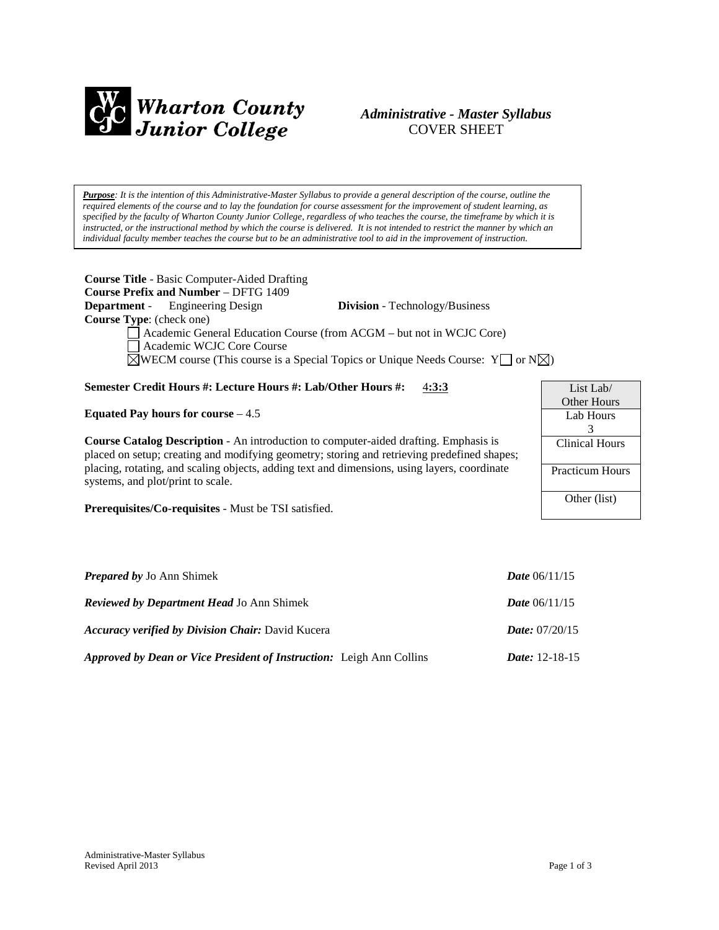

# *Administrative - Master Syllabus*  COVER SHEET

*Purpose: It is the intention of this Administrative-Master Syllabus to provide a general description of the course, outline the required elements of the course and to lay the foundation for course assessment for the improvement of student learning, as specified by the faculty of Wharton County Junior College, regardless of who teaches the course, the timeframe by which it is instructed, or the instructional method by which the course is delivered. It is not intended to restrict the manner by which an individual faculty member teaches the course but to be an administrative tool to aid in the improvement of instruction.*

| <b>Course Title - Basic Computer-Aided Drafting</b><br><b>Course Prefix and Number - DFTG 1409</b>           |                 |
|--------------------------------------------------------------------------------------------------------------|-----------------|
| <b>Department</b> - Engineering Design<br><b>Division</b> - Technology/Business                              |                 |
| <b>Course Type:</b> (check one)                                                                              |                 |
| Academic General Education Course (from ACGM - but not in WCJC Core)                                         |                 |
| Academic WCJC Core Course                                                                                    |                 |
| $\boxtimes$ WECM course (This course is a Special Topics or Unique Needs Course: Y $\Box$ or N $\boxtimes$ ) |                 |
|                                                                                                              |                 |
| Semester Credit Hours #: Lecture Hours #: Lab/Other Hours #:<br>4:3:3                                        | List Lab $\ell$ |
|                                                                                                              | Other Hours     |
| Equated Pay hours for course $-4.5$                                                                          | Lab Hours       |

**Course Catalog Description** - An introduction to computer-aided drafting. Emphasis is placed on setup; creating and modifying geometry; storing and retrieving predefined shapes; placing, rotating, and scaling objects, adding text and dimensions, using layers, coordinate systems, and plot/print to scale.

**Prerequisites/Co-requisites** - Must be TSI satisfied.

| <b>Prepared by Jo Ann Shimek</b>                                            | <b>Date</b> $06/11/15$  |
|-----------------------------------------------------------------------------|-------------------------|
| <b>Reviewed by Department Head Jo Ann Shimek</b>                            | <b>Date</b> $06/11/15$  |
| <b>Accuracy verified by Division Chair: David Kucera</b>                    | <i>Date:</i> $07/20/15$ |
| <b>Approved by Dean or Vice President of Instruction:</b> Leigh Ann Collins | <i>Date:</i> $12-18-15$ |

3 Clinical Hours

Practicum Hours

Other (list)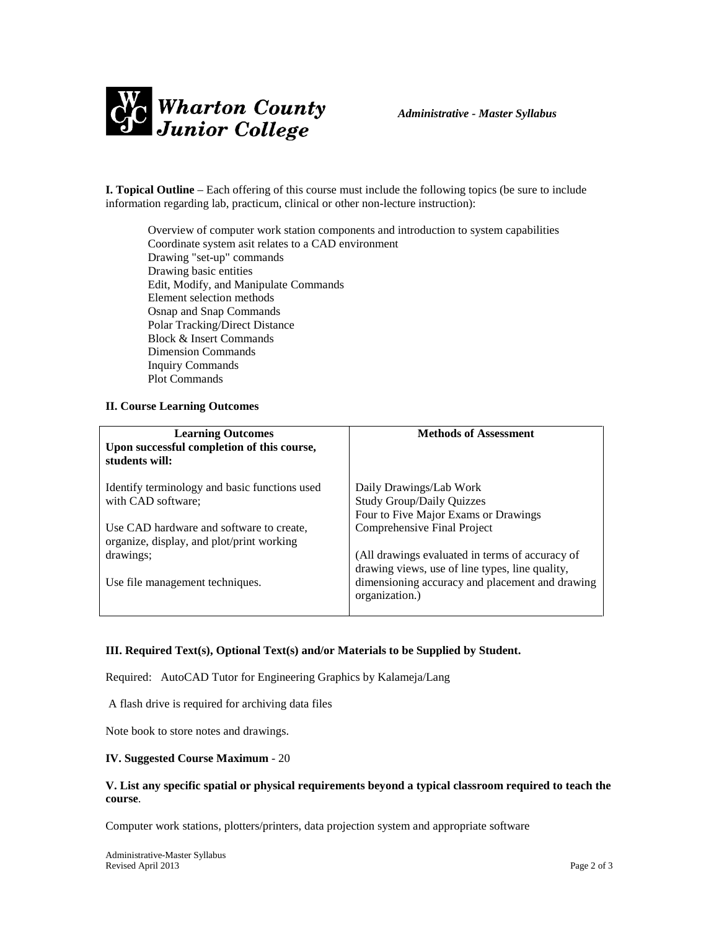

**I. Topical Outline** – Each offering of this course must include the following topics (be sure to include information regarding lab, practicum, clinical or other non-lecture instruction):

Overview of computer work station components and introduction to system capabilities Coordinate system asit relates to a CAD environment Drawing "set-up" commands Drawing basic entities Edit, Modify, and Manipulate Commands Element selection methods Osnap and Snap Commands Polar Tracking/Direct Distance Block & Insert Commands Dimension Commands Inquiry Commands Plot Commands

## **II. Course Learning Outcomes**

| <b>Learning Outcomes</b><br>Upon successful completion of this course,<br>students will: | <b>Methods of Assessment</b>                                      |
|------------------------------------------------------------------------------------------|-------------------------------------------------------------------|
| Identify terminology and basic functions used                                            | Daily Drawings/Lab Work                                           |
| with CAD software;                                                                       | <b>Study Group/Daily Quizzes</b>                                  |
|                                                                                          | Four to Five Major Exams or Drawings                              |
| Use CAD hardware and software to create,<br>organize, display, and plot/print working    | Comprehensive Final Project                                       |
| drawings;                                                                                | (All drawings evaluated in terms of accuracy of                   |
|                                                                                          | drawing views, use of line types, line quality,                   |
| Use file management techniques.                                                          | dimensioning accuracy and placement and drawing<br>organization.) |

## **III. Required Text(s), Optional Text(s) and/or Materials to be Supplied by Student.**

Required: AutoCAD Tutor for Engineering Graphics by Kalameja/Lang

A flash drive is required for archiving data files

Note book to store notes and drawings.

## **IV. Suggested Course Maximum** - 20

## **V. List any specific spatial or physical requirements beyond a typical classroom required to teach the course**.

Computer work stations, plotters/printers, data projection system and appropriate software